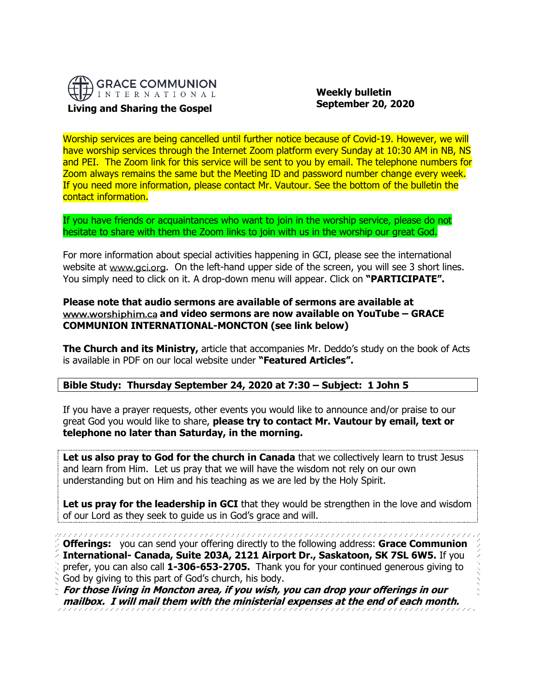

 **Weekly bulletin September 20, 2020**

Worship services are being cancelled until further notice because of Covid-19. However, we will have worship services through the Internet Zoom platform every Sunday at 10:30 AM in NB, NS and PEI. The Zoom link for this service will be sent to you by email. The telephone numbers for Zoom always remains the same but the Meeting ID and password number change every week. If you need more information, please contact Mr. Vautour. See the bottom of the bulletin the contact information.

If you have friends or acquaintances who want to join in the worship service, please do not hesitate to share with them the Zoom links to join with us in the worship our great God.

For more information about special activities happening in GCI, please see the international website at www.gci.org. On the left-hand upper side of the screen, you will see 3 short lines. You simply need to click on it. A drop-down menu will appear. Click on **"PARTICIPATE".** 

### **[Please note that aud](http://www.worshiphim.ca/)io sermons are available of sermons are available at and video sermons are now available on YouTube – GRACE COMMUNION INTERNATIONAL-MONCTON (see link below)**

**The Church and its Ministry,** article that accompanies Mr. Deddo's study on the book of Acts is available in PDF on our local website under **"Featured Articles".**

# **Bible Study: Thursday September 24, 2020 at 7:30 – Subject: 1 John 5**

If you have a prayer requests, other events you would like to announce and/or praise to our great God you would like to share, **please try to contact Mr. Vautour by email, text or telephone no later than Saturday, in the morning.**

Let us also pray to God for the church in Canada that we collectively learn to trust Jesus and learn from Him. Let us pray that we will have the wisdom not rely on our own understanding but on Him and his teaching as we are led by the Holy Spirit.

**Let us pray for the leadership in GCI** that they would be strengthen in the love and wisdom of our Lord as they seek to guide us in God's grace and will.

**Offerings:** you can send your offering directly to the following address: **Grace Communion International- Canada, Suite 203A, 2121 Airport Dr., Saskatoon, SK 7SL 6W5.** If you prefer, you can also call **1-306-653-2705.** Thank you for your continued generous giving to God by giving to this part of God's church, his body.

**For those living in Moncton area, if you wish, you can drop your offerings in our mailbox. I will mail them with the ministerial expenses at the end of each month.**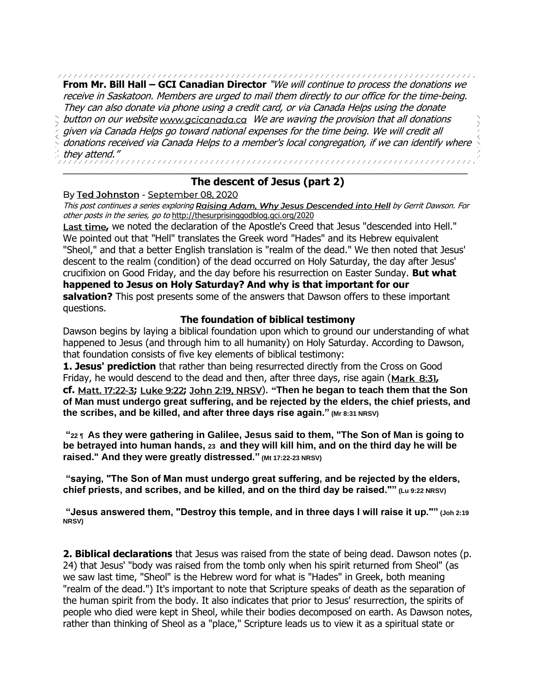**From Mr. Bill Hall – GCI Canadian Director** "We will continue to process the donations we receive in Saskatoon. Members are urged to mail them directly to our office for the time-being. They can also donate via phone using a credit card, or via Canada Helps using the donate button on our websit[e](https://eur03.safelinks.protection.outlook.com/?url=http%3A%2F%2Fwww.gcicanada.ca%2F&data=02%7C01%7C%7C9fd93e29c2b44509e5a008d7caa78fdb%7C84df9e7fe9f640afb435aaaaaaaaaaaa%7C1%7C0%7C637200693331983394&sdata=VAGy4Q%2BxbhHuYaeEiDz%2FQyicT%2FoiY4Ir9kc8w5yHRPs%3D&reserved=0) www.gcicanada.ca We are waving the provision that all donations given via Canada Helps go toward national expenses for the time being. We will credit all donations received via Canada Helps to a member's local congregation, if we can identify where they attend." \_\_\_\_\_\_\_\_\_\_\_\_\_\_\_\_\_\_\_\_\_\_\_\_\_\_\_\_\_\_\_\_\_\_\_\_\_\_\_\_\_\_\_\_\_\_\_\_\_\_\_\_\_\_\_\_\_\_\_\_\_\_\_\_\_\_\_\_\_\_\_\_\_\_\_\_\_

# **The descent of Jesus (part 2)**

### By Ted Johnston - September 08, 2020

This post continues a series explorin[g](https://www.amazon.com/Raising-Adam-Jesus-Descended-Into/dp/0988491656) Raising Adam, Why Jesus Descended into Hell by Gerrit Dawson. For other posts in the series, go to <http://thesurprisinggodblog.gci.org/2020>

Last time[,](http://thesurprisinggodblog.gci.org/2020/08/the-descent-of-jesus-part-1.html) we noted the declaration of the Apostle's Creed that Jesus "descended into Hell." We pointed out that "Hell" translates the Greek word "Hades" and its Hebrew equivalent "Sheol," and that a better English translation is "realm of the dead." We then noted that Jesus' descent to the realm (condition) of the dead occurred on Holy Saturday, the day after Jesus' crucifixion on Good Friday, and the day before his resurrection on Easter Sunday. **But what happened to Jesus on Holy Saturday? And why is that important for our salvation?** This post presents some of the answers that Dawson offers to these important questions.

### **The foundation of biblical testimony**

Dawson begins by laying a biblical foundation upon which to ground our understanding of what happened to Jesus (and through him to all humanity) on Holy Saturday. According to Dawson, that foundation consists of five key elements of biblical testimony:

**1. Jesus' prediction** that rather than being resurrected directly from the Cross on Good Friday[,](https://biblia.com/bible/niv/Mark%208.31) he would descend to the dead and then, after three days, rise again (Mark 8:31, **cf.** Matt. 17:22-3[;](https://biblia.com/bible/niv/Luke%209.22) Luke 9:22; John 2:19, NRSV[\)](https://biblia.com/bible/nrsv/John%202.19). "Then he began to teach them that the Son **of Man must undergo great suffering, and be rejected by the elders, the chief priests, and the scribes, and be killed, and after three days rise again." (Mr 8:31 NRSV)**

**"22 ¶ As they were gathering in Galilee, Jesus said to them, "The Son of Man is going to be betrayed into human hands, 23 and they will kill him, and on the third day he will be raised." And they were greatly distressed." (Mt 17:22-23 NRSV)**

**"saying, "The Son of Man must undergo great suffering, and be rejected by the elders, chief priests, and scribes, and be killed, and on the third day be raised."" (Lu 9:22 NRSV)**

**"Jesus answered them, "Destroy this temple, and in three days I will raise it up."" (Joh 2:19 NRSV)**

**2. Biblical declarations** that Jesus was raised from the state of being dead. Dawson notes (p. 24) that Jesus' "body was raised from the tomb only when his spirit returned from Sheol" (as we saw last time, "Sheol" is the Hebrew word for what is "Hades" in Greek, both meaning "realm of the dead.") It's important to note that Scripture speaks of death as the separation of the human spirit from the body. It also indicates that prior to Jesus' resurrection, the spirits of people who died were kept in Sheol, while their bodies decomposed on earth. As Dawson notes, rather than thinking of Sheol as a "place," Scripture leads us to view it as a spiritual state or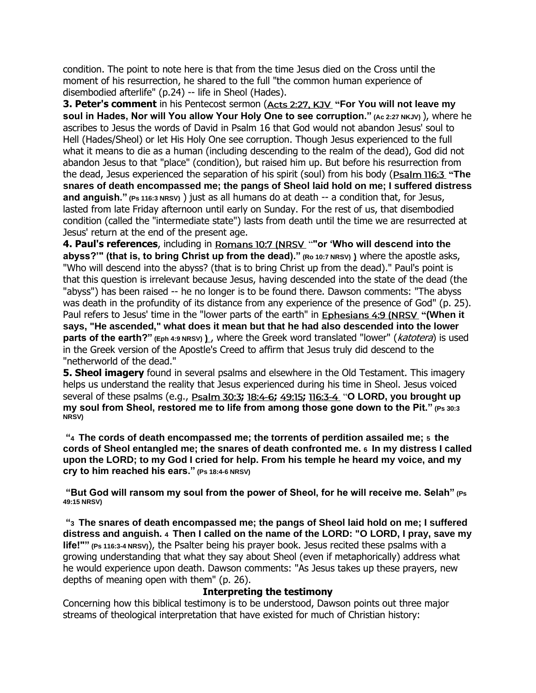condition. The point to note here is that from the time Jesus died on the Cross until the moment of his resurrection, he shared to the full "the common human experience of disembodied afterlife" (p.24) -- life in Sheol (Hades).

**3. Peter's comment** in his Pentecost sermon [\(](https://biblia.com/bible/kjv1900/Acts%202.27)Acts 2:27, KJV "For You will not leave my **soul in Hades, Nor will You allow Your Holy One to see corruption." (Ac 2:27 NKJV)** ), where he ascribes to Jesus the words of David in Psalm 16 that God would not abandon Jesus' soul to Hell (Hades/Sheol) or let His Holy One see corruption. Though Jesus experienced to the full what it means to die as a human (including descending to the realm of the dead), God did not abandon Jesus to that "place" (condition), but raised him up. But before his resurrection from the dead, Jesus experienced the separation of his spirit (soul) from his body [\(](https://biblia.com/bible/niv/Ps%20116.3) **"The snares of death encompassed me; the pangs of Sheol laid hold on me; I suffered distress and anguish." (Ps 116:3 NRSV)** ) just as all humans do at death -- a condition that, for Jesus, lasted from late Friday afternoon until early on Sunday. For the rest of us, that disembodied condition (called the "intermediate state") lasts from death until the time we are resurrected at Jesus' return at the end of the present age.

4. Paul's references, including in Romans 10:7 (NRSV ""or 'Who will descend into the **[abyss?'" \(that is, to bring Christ up from the dead\)."](https://biblia.com/bible/nrsv/Rom%2010.7) (Ro 10:7 NRSV)** where the apostle asks, "Who will descend into the abyss? (that is to bring Christ up from the dead)." Paul's point is that this question is irrelevant because Jesus, having descended into the state of the dead (the "abyss") has been raised -- he no longer is to be found there. Dawson comments: "The abyss was death in the profundity of its distance from any experience of the presence of God" (p. 25). Paul refers to Jesus' time in the "lower parts of the earth" in **Ephesians 4:9 (NRSV "(When it [says, "He ascended," what does it mean but that he had also descended into the lower](https://biblia.com/bible/nrsv/Eph%204.9)  [parts of the earth?"](https://biblia.com/bible/nrsv/Eph%204.9)** (Eph 4:9 NRSV) ), where the Greek word translated "lower" (katotera) is used in the Greek version of the Apostle's Creed to affirm that Jesus truly did descend to the "netherworld of the dead."

**5. Sheol imagery** found in several psalms and elsewhere in the Old Testament. This imagery helps us understand the reality that Jesus experienced during his time in Sheol. Jesus voiced several of these psalms (e.g., **[;](https://biblia.com/bible/niv/Ps%2030.3) [;](https://biblia.com/bible/niv/Psalm%2018.4-6) [;](https://biblia.com/bible/niv/Psalm%2049.15)** "**O LORD, you brought up my soul from Sheol, restored me to life from among those gone down to the Pit." (Ps 30:3 NRSV)**

**"4 The cords of death encompassed me; the torrents of perdition assailed me; 5 the cords of Sheol entangled me; the snares of death confronted me. 6 In my distress I called upon the LORD; to my God I cried for help. From his temple he heard my voice, and my cry to him reached his ears." (Ps 18:4-6 NRSV)**

**"But God will ransom my soul from the power of Sheol, for he will receive me. Selah" (Ps 49:15 NRSV)**

**"3 The snares of death encompassed me; the pangs of Sheol laid hold on me; I suffered distress and anguish. 4 Then I called on the name of the LORD: "O LORD, I pray, save my life!"" (Ps 116:3-4 NRSV)**), the Psalter being his prayer book. Jesus recited these psalms with a growing understanding that what they say about Sheol (even if metaphorically) address what he would experience upon death. Dawson comments: "As Jesus takes up these prayers, new depths of meaning open with them" (p. 26).

#### **Interpreting the testimony**

Concerning how this biblical testimony is to be understood, Dawson points out three major streams of theological interpretation that have existed for much of Christian history: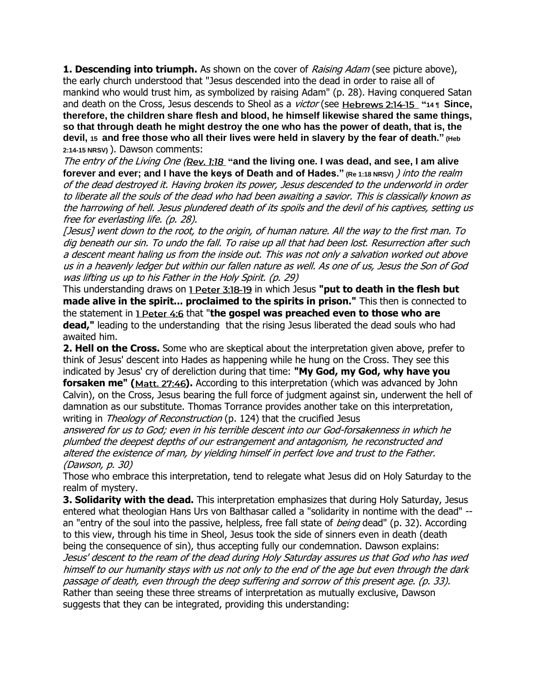**1. Descending into triumph.** As shown on the cover of *Raising Adam* (see picture above), the early church understood that "Jesus descended into the dead in order to raise all of mankind who would trust him, as symbolized by raising Adam" (p. 28). Having conquered Satan and death on the Cross, Jesus descends to Sheol as a *victor* (see Hebrews 2:14-15 "14 **T Since. therefore, the children share flesh and blood, he himself likewise shared the same things, so that through death he might destroy the one who has the power of death, that is, the devil, 15 and free those who all their lives were held in slavery by the fear of death." (Heb 2:14-15 NRSV)** ). Dawson comments:

The entry of the Living One [\(](https://biblia.com/bible/niv/Rev.%201.18)Rev. 1:18 "and the living one. I was dead, and see, I am alive **forever and ever; and I have the keys of Death and of Hades." (Re 1:18 NRSV)** ) into the realm of the dead destroyed it. Having broken its power, Jesus descended to the underworld in order to liberate all the souls of the dead who had been awaiting a savior. This is classically known as the harrowing of hell. Jesus plundered death of its spoils and the devil of his captives, setting us free for everlasting life. (p. 28).

[Jesus] went down to the root, to the origin, of human nature. All the way to the first man. To dig beneath our sin. To undo the fall. To raise up all that had been lost. Resurrection after such a descent meant haling us from the inside out. This was not only a salvation worked out above us in a heavenly ledger but within our fallen nature as well. As one of us, Jesus the Son of God was lifting us up to his Father in the Hol[y](https://biblia.com/bible/niv/1%20Pet%203.18-19) S[p](https://biblia.com/bible/niv/1%20Pet%203.18-19)irit. (p. 29)

This understanding draws on 1 Peter 3:18-19 in which Jesus "put to death in the flesh but **made alive in the spirit... proclaimed to the spirits in prison."** This then is connected to the statement in 1 Peter 4:6 that "the gospel was preached even to those who are **dead,"** leading to the understanding that the rising Jesus liberated the dead souls who had awaited him.

**2. Hell on the Cross.** Some who are skeptical about the interpretation given above, prefer to think of Jesus' descent into Hades as happening while he hung on the Cross. They see this indicated by Jesus' cry of dereliction during that time: **"My God, my God, why have you forsaken me"** [\(](https://biblia.com/bible/niv/Matt.%2027.46)Matt. 27:46). According to this interpretation (which was advanced by John

Calvin), on the Cross, Jesus bearing the full force of judgment against sin, underwent the hell of damnation as our substitute. Thomas Torrance provides another take on this interpretation, writing in *Theology of Reconstruction* (p. 124) that the crucified Jesus

answered for us to God; even in his terrible descent into our God-forsakenness in which he plumbed the deepest depths of our estrangement and antagonism, he reconstructed and altered the existence of man, by yielding himself in perfect love and trust to the Father. (Dawson, p. 30)

Those who embrace this interpretation, tend to relegate what Jesus did on Holy Saturday to the realm of mystery.

**3. Solidarity with the dead.** This interpretation emphasizes that during Holy Saturday, Jesus entered what theologian Hans Urs von Balthasar called a "solidarity in nontime with the dead" - an "entry of the soul into the passive, helpless, free fall state of *being* dead" (p. 32). According to this view, through his time in Sheol, Jesus took the side of sinners even in death (death being the consequence of sin), thus accepting fully our condemnation. Dawson explains: Jesus' descent to the ream of the dead during Holy Saturday assures us that God who has wed himself to our humanity stays with us not only to the end of the age but even through the dark passage of death, even through the deep suffering and sorrow of this present age. (p. 33). Rather than seeing these three streams of interpretation as mutually exclusive, Dawson suggests that they can be integrated, providing this understanding: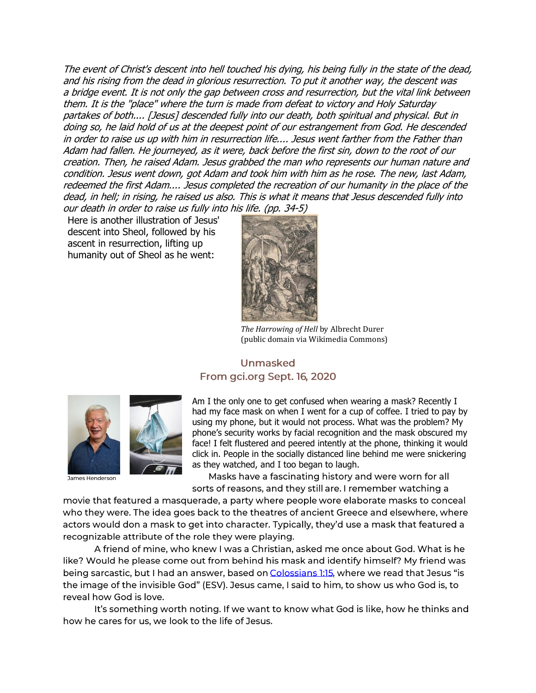The event of Christ's descent into hell touched his dying, his being fully in the state of the dead, and his rising from the dead in glorious resurrection. To put it another way, the descent was <sup>a</sup> bridge event. It is not only the gap between cross and resurrection, but the vital link between them. It is the "place" where the turn is made from defeat to victory and Holy Saturday partakes of both.... [Jesus] descended fully into our death, both spiritual and physical. But in doing so, he laid hold of us at the deepest point of our estrangement from God. He descended in order to raise us up with him in resurrection life.... Jesus went farther from the Father than Adam had fallen. He journeyed, as it were, back before the first sin, down to the root of our creation. Then, he raised Adam. Jesus grabbed the man who represents our human nature and condition. Jesus went down, got Adam and took him with him as he rose. The new, last Adam, redeemed the first Adam.... Jesus completed the recreation of our humanity in the place of the dead, in hell; in rising, he raised us also. This is what it means that Jesus descended fully into our death in order to raise us fully into his life. (pp. 34-5)

Here is another illustration of Jesus' descent into Sheol, followed by his ascent in resurrection, lifting up humanity out of Sheol as he went:



*The Harrowing of Hell* by Albrecht Durer (public domain via Wikimedia Commons)

# **Unmasked** From gci.org Sept. 16, 2020



James Henderson

Am I the only one to get confused when wearing a mask? Recently I had my face mask on when I went for a cup of coffee. I tried to pay by using my phone, but it would not process. What was the problem? My phone's security works by facial recognition and the mask obscured my face! I felt flustered and peered intently at the phone, thinking it would click in. People in the socially distanced line behind me were snickering as they watched, and I too began to laugh.

Masks have a fascinating history and were worn for all sorts of reasons, and they still are. I remember watching a

movie that featured a masquerade, a party where people wore elaborate masks to conceal who they were. The idea goes back to the theatres of ancient Greece and elsewhere, where actors would don a mask to get into character. Typically, they'd use a mask that featured a recognizable attribute of the role they were playing.

A friend of mine, who knew I was a Christian, asked me once about God. What is he like? Would he please come out from behind his mask and identify himself? My friend was being sarcastic, but I had an answer, based on Colossians 1:15, where we read that Jesus "is the image of the invisible God" (ESV). Jesus came, I said to him, to show us who God is, to reveal how God is love.

It's something worth noting. If we want to know what God is like, how he thinks and how he cares for us, we look to the life of Jesus.